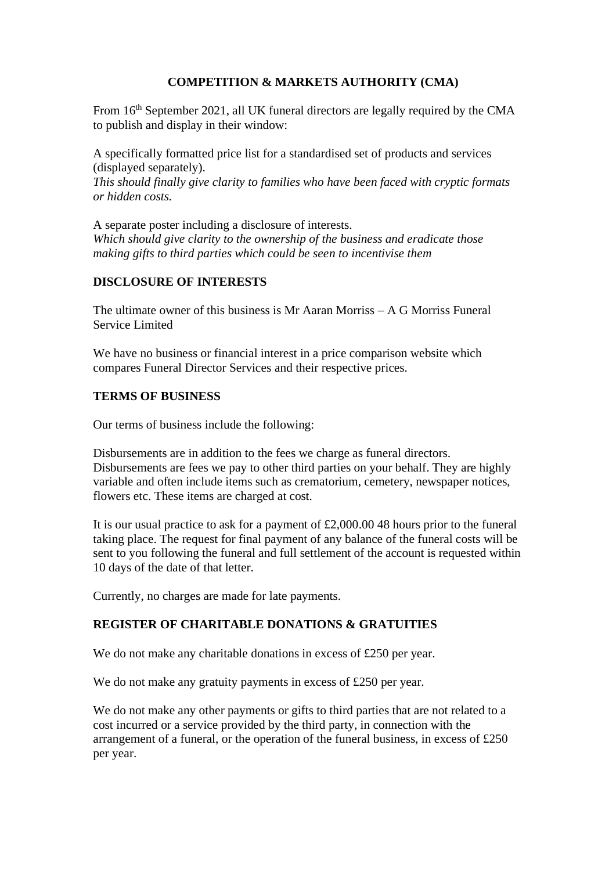# **COMPETITION & MARKETS AUTHORITY (CMA)**

From 16<sup>th</sup> September 2021, all UK funeral directors are legally required by the CMA to publish and display in their window:

A specifically formatted price list for a standardised set of products and services (displayed separately). *This should finally give clarity to families who have been faced with cryptic formats or hidden costs.*

A separate poster including a disclosure of interests. *Which should give clarity to the ownership of the business and eradicate those making gifts to third parties which could be seen to incentivise them*

## **DISCLOSURE OF INTERESTS**

The ultimate owner of this business is Mr Aaran Morriss – A G Morriss Funeral Service Limited

We have no business or financial interest in a price comparison website which compares Funeral Director Services and their respective prices.

## **TERMS OF BUSINESS**

Our terms of business include the following:

Disbursements are in addition to the fees we charge as funeral directors. Disbursements are fees we pay to other third parties on your behalf. They are highly variable and often include items such as crematorium, cemetery, newspaper notices, flowers etc. These items are charged at cost.

It is our usual practice to ask for a payment of £2,000.00 48 hours prior to the funeral taking place. The request for final payment of any balance of the funeral costs will be sent to you following the funeral and full settlement of the account is requested within 10 days of the date of that letter.

Currently, no charges are made for late payments.

## **REGISTER OF CHARITABLE DONATIONS & GRATUITIES**

We do not make any charitable donations in excess of £250 per year.

We do not make any gratuity payments in excess of £250 per year.

We do not make any other payments or gifts to third parties that are not related to a cost incurred or a service provided by the third party, in connection with the arrangement of a funeral, or the operation of the funeral business, in excess of £250 per year.